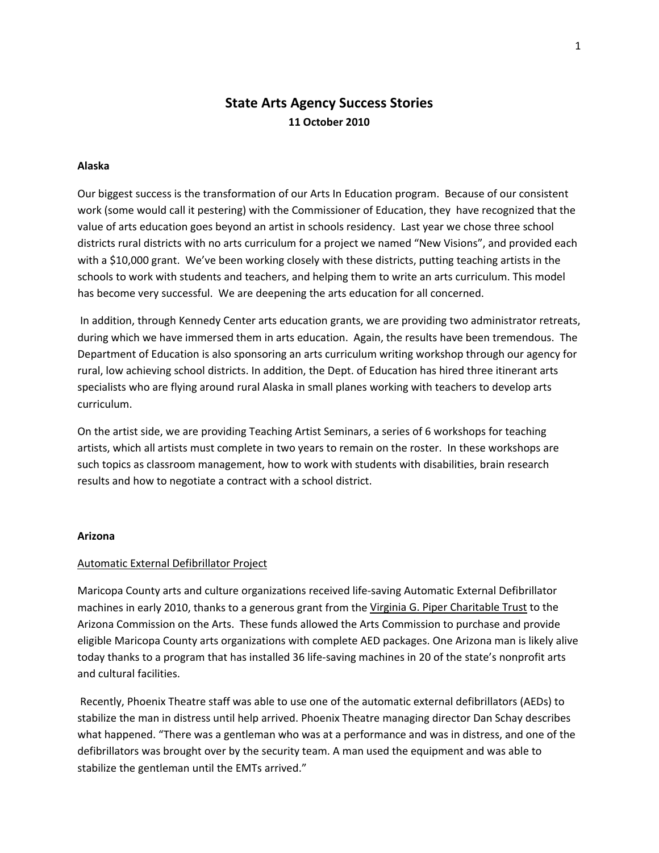# **State Arts Agency Success Stories 11 October 2010**

# **Alaska**

Our biggest success is the transformation of our Arts In Education program. Because of our consistent work (some would call it pestering) with the Commissioner of Education, they have recognized that the value of arts education goes beyond an artist in schools residency. Last year we chose three school districts rural districts with no arts curriculum for a project we named "New Visions", and provided each with a \$10,000 grant. We've been working closely with these districts, putting teaching artists in the schools to work with students and teachers, and helping them to write an arts curriculum. This model has become very successful. We are deepening the arts education for all concerned.

In addition, through Kennedy Center arts education grants, we are providing two administrator retreats, during which we have immersed them in arts education. Again, the results have been tremendous. The Department of Education is also sponsoring an arts curriculum writing workshop through our agency for rural, low achieving school districts. In addition, the Dept. of Education has hired three itinerant arts specialists who are flying around rural Alaska in small planes working with teachers to develop arts curriculum.

On the artist side, we are providing Teaching Artist Seminars, a series of 6 workshops for teaching artists, which all artists must complete in two years to remain on the roster. In these workshops are such topics as classroom management, how to work with students with disabilities, brain research results and how to negotiate a contract with a school district.

#### **Arizona**

## Automatic External Defibrillator Project

Maricopa County arts and culture organizations received life‐saving Automatic External Defibrillator machines in early 2010, thanks to a generous grant from the Virginia G. Piper [Charitable](http://www.pipertrust.org/) Trust to the Arizona Commission on the Arts. These funds allowed the Arts Commission to purchase and provide eligible Maricopa County arts organizations with complete AED packages. One Arizona man is likely alive today thanks to a program that has installed 36 life-saving machines in 20 of the state's nonprofit arts and cultural facilities.

Recently, Phoenix Theatre staff was able to use one of the automatic external defibrillators (AEDs) to stabilize the man in distress until help arrived. Phoenix Theatre managing director Dan Schay describes what happened. "There was a gentleman who was at a performance and was in distress, and one of the defibrillators was brought over by the security team. A man used the equipment and was able to stabilize the gentleman until the EMTs arrived."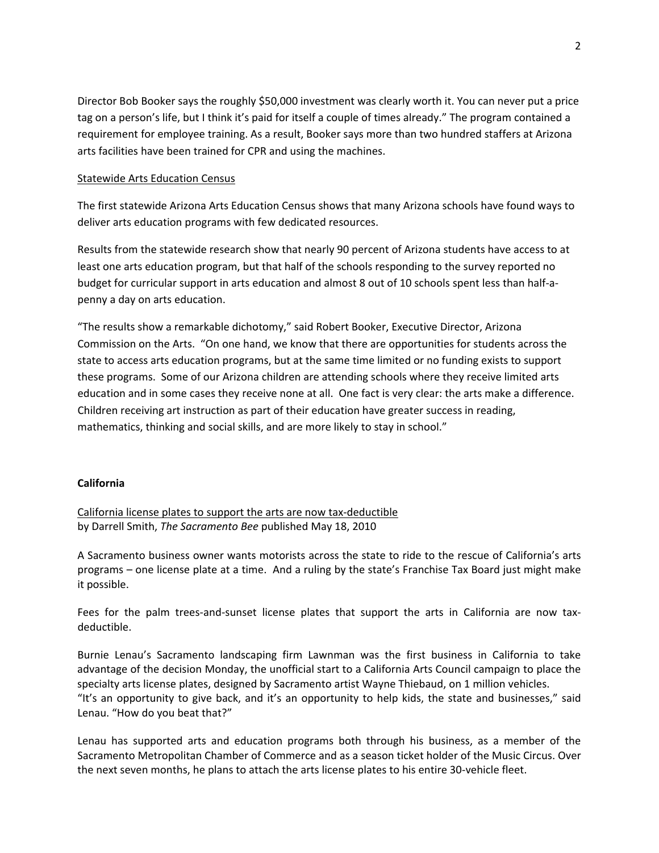Director Bob Booker says the roughly \$50,000 investment was clearly worth it. You can never put a price tag on a person's life, but I think it's paid for itself a couple of times already." The program contained a requirement for employee training. As a result, Booker says more than two hundred staffers at Arizona arts facilities have been trained for CPR and using the machines.

# Statewide Arts Education Census

The first statewide Arizona Arts Education Census shows that many Arizona schools have found ways to deliver arts education programs with few dedicated resources.

Results from the statewide research show that nearly 90 percent of Arizona students have access to at least one arts education program, but that half of the schools responding to the survey reported no budget for curricular support in arts education and almost 8 out of 10 schools spent less than half‐a‐ penny a day on arts education.

"The results show a remarkable dichotomy," said Robert Booker, Executive Director, Arizona Commission on the Arts. "On one hand, we know that there are opportunities for students across the state to access arts education programs, but at the same time limited or no funding exists to support these programs. Some of our Arizona children are attending schools where they receive limited arts education and in some cases they receive none at all. One fact is very clear: the arts make a difference. Children receiving art instruction as part of their education have greater success in reading, mathematics, thinking and social skills, and are more likely to stay in school."

## **California**

California license plates to support the arts are now tax‐deductible by Darrell Smith, *The Sacramento Bee* published May 18, 2010

A Sacramento business owner wants motorists across the state to ride to the rescue of California's arts programs – one license plate at a time. And a ruling by the state's Franchise Tax Board just might make it possible.

Fees for the palm trees-and-sunset license plates that support the arts in California are now taxdeductible.

Burnie Lenau's Sacramento landscaping firm Lawnman was the first business in California to take advantage of the decision Monday, the unofficial start to a California Arts Council campaign to place the specialty arts license plates, designed by Sacramento artist Wayne Thiebaud, on 1 million vehicles. "It's an opportunity to give back, and it's an opportunity to help kids, the state and businesses," said Lenau. "How do you beat that?"

Lenau has supported arts and education programs both through his business, as a member of the Sacramento Metropolitan Chamber of Commerce and as a season ticket holder of the Music Circus. Over the next seven months, he plans to attach the arts license plates to his entire 30‐vehicle fleet.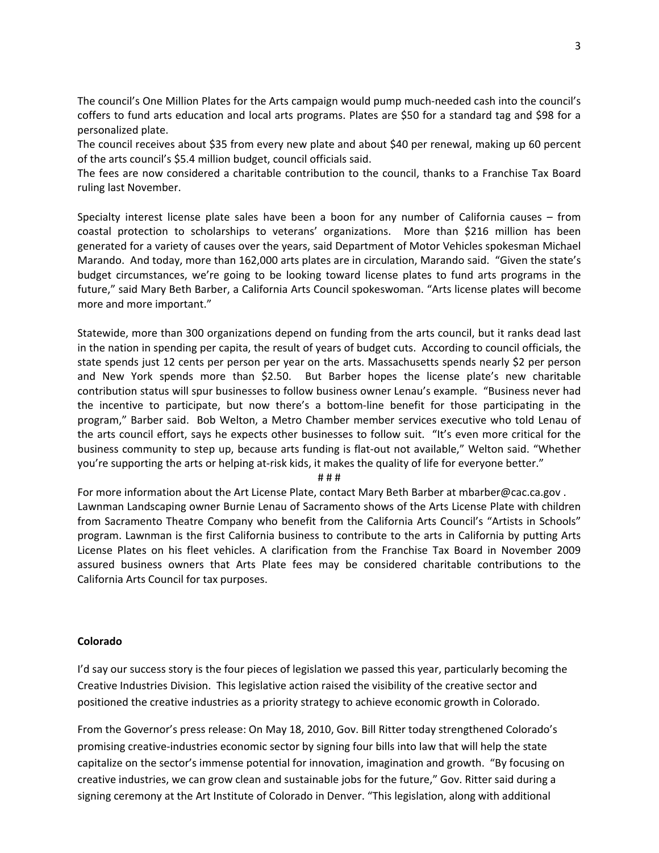The council's One Million Plates for the Arts campaign would pump much-needed cash into the council's coffers to fund arts education and local arts programs. Plates are \$50 for a standard tag and \$98 for a personalized plate.

The council receives about \$35 from every new plate and about \$40 per renewal, making up 60 percent of the arts council's \$5.4 million budget, council officials said.

The fees are now considered a charitable contribution to the council, thanks to a Franchise Tax Board ruling last November.

Specialty interest license plate sales have been a boon for any number of California causes – from coastal protection to scholarships to veterans' organizations. More than \$216 million has been generated for a variety of causes over the years, said Department of Motor Vehicles spokesman Michael Marando. And today, more than 162,000 arts plates are in circulation, Marando said. "Given the state's budget circumstances, we're going to be looking toward license plates to fund arts programs in the future," said Mary Beth Barber, a California Arts Council spokeswoman. "Arts license plates will become more and more important."

Statewide, more than 300 organizations depend on funding from the arts council, but it ranks dead last in the nation in spending per capita, the result of years of budget cuts. According to council officials, the state spends just 12 cents per person per year on the arts. Massachusetts spends nearly \$2 per person and New York spends more than \$2.50. But Barber hopes the license plate's new charitable contribution status will spur businesses to follow business owner Lenau's example. "Business never had the incentive to participate, but now there's a bottom‐line benefit for those participating in the program," Barber said. Bob Welton, a Metro Chamber member services executive who told Lenau of the arts council effort, says he expects other businesses to follow suit. "It's even more critical for the business community to step up, because arts funding is flat-out not available," Welton said. "Whether you're supporting the arts or helping at-risk kids, it makes the quality of life for everyone better."

# # #

For more information about the Art License Plate, contact Mary Beth Barber at mbarber@cac.ca.gov . Lawnman Landscaping owner Burnie Lenau of Sacramento shows of the Arts License Plate with children from Sacramento Theatre Company who benefit from the California Arts Council's "Artists in Schools" program. Lawnman is the first California business to contribute to the arts in California by putting Arts License Plates on his fleet vehicles. A clarification from the Franchise Tax Board in November 2009 assured business owners that Arts Plate fees may be considered charitable contributions to the California Arts Council for tax purposes.

## **Colorado**

I'd say our success story is the four pieces of legislation we passed this year, particularly becoming the Creative Industries Division. This legislative action raised the visibility of the creative sector and positioned the creative industries as a priority strategy to achieve economic growth in Colorado.

From the Governor's press release: On May 18, 2010, Gov. Bill Ritter today strengthened Colorado's promising creative‐industries economic sector by signing four bills into law that will help the state capitalize on the sector's immense potential for innovation, imagination and growth. "By focusing on creative industries, we can grow clean and sustainable jobs for the future," Gov. Ritter said during a signing ceremony at the Art Institute of Colorado in Denver. "This legislation, along with additional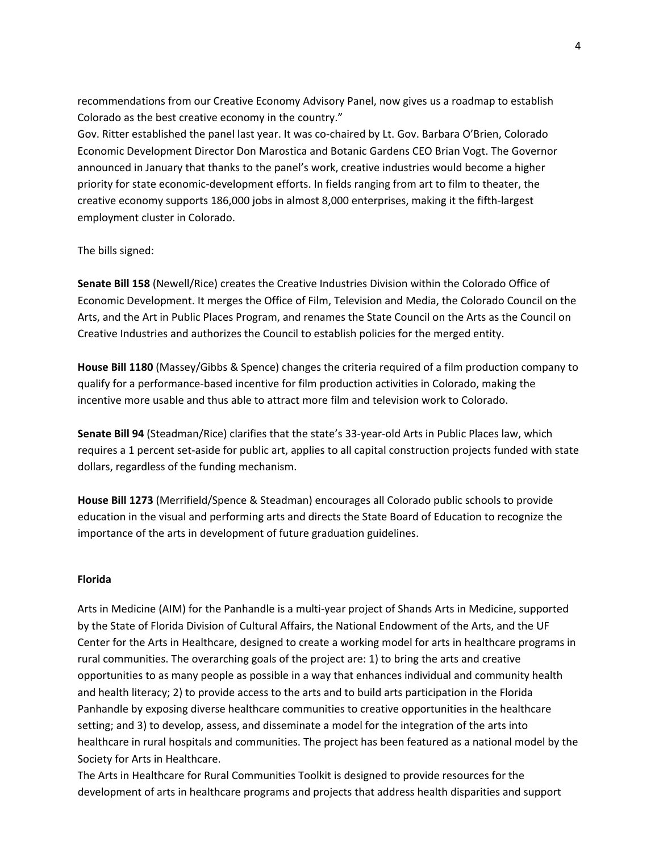recommendations from our Creative Economy Advisory Panel, now gives us a roadmap to establish Colorado as the best creative economy in the country."

Gov. Ritter established the panel last year. It was co‐chaired by Lt. Gov. Barbara O'Brien, Colorado Economic Development Director Don Marostica and Botanic Gardens CEO Brian Vogt. The Governor announced in January that thanks to the panel's work, creative industries would become a higher priority for state economic‐development efforts. In fields ranging from art to film to theater, the creative economy supports 186,000 jobs in almost 8,000 enterprises, making it the fifth‐largest employment cluster in Colorado.

#### The bills signed:

**Senate Bill 158** (Newell/Rice) creates the Creative Industries Division within the Colorado Office of Economic Development. It merges the Office of Film, Television and Media, the Colorado Council on the Arts, and the Art in Public Places Program, and renames the State Council on the Arts as the Council on Creative Industries and authorizes the Council to establish policies for the merged entity.

**House Bill 1180** (Massey/Gibbs & Spence) changes the criteria required of a film production company to qualify for a performance‐based incentive for film production activities in Colorado, making the incentive more usable and thus able to attract more film and television work to Colorado.

**Senate Bill 94** (Steadman/Rice) clarifies that the state's 33‐year‐old Arts in Public Places law, which requires a 1 percent set-aside for public art, applies to all capital construction projects funded with state dollars, regardless of the funding mechanism.

**House Bill 1273** (Merrifield/Spence & Steadman) encourages all Colorado public schools to provide education in the visual and performing arts and directs the State Board of Education to recognize the importance of the arts in development of future graduation guidelines.

#### **Florida**

Arts in Medicine (AIM) for the Panhandle is a multi‐year project of Shands Arts in Medicine, supported by the State of Florida Division of Cultural Affairs, the National Endowment of the Arts, and the UF Center for the Arts in Healthcare, designed to create a working model for arts in healthcare programs in rural communities. The overarching goals of the project are: 1) to bring the arts and creative opportunities to as many people as possible in a way that enhances individual and community health and health literacy; 2) to provide access to the arts and to build arts participation in the Florida Panhandle by exposing diverse healthcare communities to creative opportunities in the healthcare setting; and 3) to develop, assess, and disseminate a model for the integration of the arts into healthcare in rural hospitals and communities. The project has been featured as a national model by the Society for Arts in Healthcare.

The Arts in Healthcare for Rural Communities Toolkit is designed to provide resources for the development of arts in healthcare programs and projects that address health disparities and support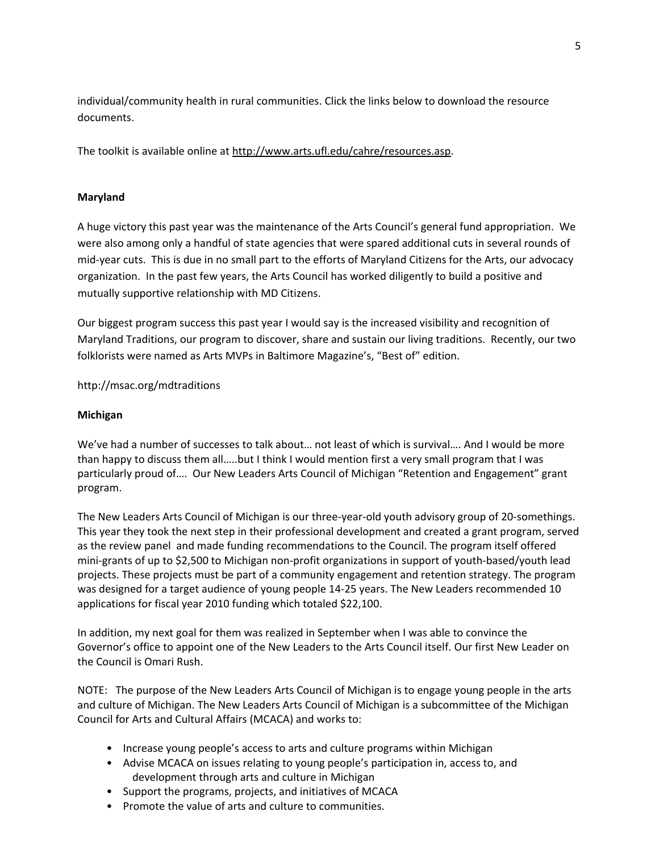individual/community health in rural communities. Click the links below to download the resource documents.

The toolkit is available online at [http://www.arts.ufl.edu/cahre/resources.asp.](http://www.arts.ufl.edu/cahre/resources.asp)

# **Maryland**

A huge victory this past year was the maintenance of the Arts Council's general fund appropriation. We were also among only a handful of state agencies that were spared additional cuts in several rounds of mid‐year cuts. This is due in no small part to the efforts of Maryland Citizens for the Arts, our advocacy organization. In the past few years, the Arts Council has worked diligently to build a positive and mutually supportive relationship with MD Citizens.

Our biggest program success this past year I would say is the increased visibility and recognition of Maryland Traditions, our program to discover, share and sustain our living traditions. Recently, our two folklorists were named as Arts MVPs in Baltimore Magazine's, "Best of" edition.

http://msac.org/mdtraditions

# **Michigan**

We've had a number of successes to talk about… not least of which is survival…. And I would be more than happy to discuss them all…..but I think I would mention first a very small program that I was particularly proud of…. Our New Leaders Arts Council of Michigan "Retention and Engagement" grant program.

The New Leaders Arts Council of Michigan is our three‐year‐old youth advisory group of 20‐somethings. This year they took the next step in their professional development and created a grant program, served as the review panel and made funding recommendations to the Council. The program itself offered mini-grants of up to \$2,500 to Michigan non-profit organizations in support of youth-based/youth lead projects. These projects must be part of a community engagement and retention strategy. The program was designed for a target audience of young people 14‐25 years. The New Leaders recommended 10 applications for fiscal year 2010 funding which totaled \$22,100.

In addition, my next goal for them was realized in September when I was able to convince the Governor's office to appoint one of the New Leaders to the Arts Council itself. Our first New Leader on the Council is Omari Rush.

NOTE: The purpose of the New Leaders Arts Council of Michigan is to engage young people in the arts and culture of Michigan. The New Leaders Arts Council of Michigan is a subcommittee of the Michigan Council for Arts and Cultural Affairs (MCACA) and works to:

- Increase young people's access to arts and culture programs within Michigan
- Advise MCACA on issues relating to young people's participation in, access to, and development through arts and culture in Michigan
- Support the programs, projects, and initiatives of MCACA
- Promote the value of arts and culture to communities.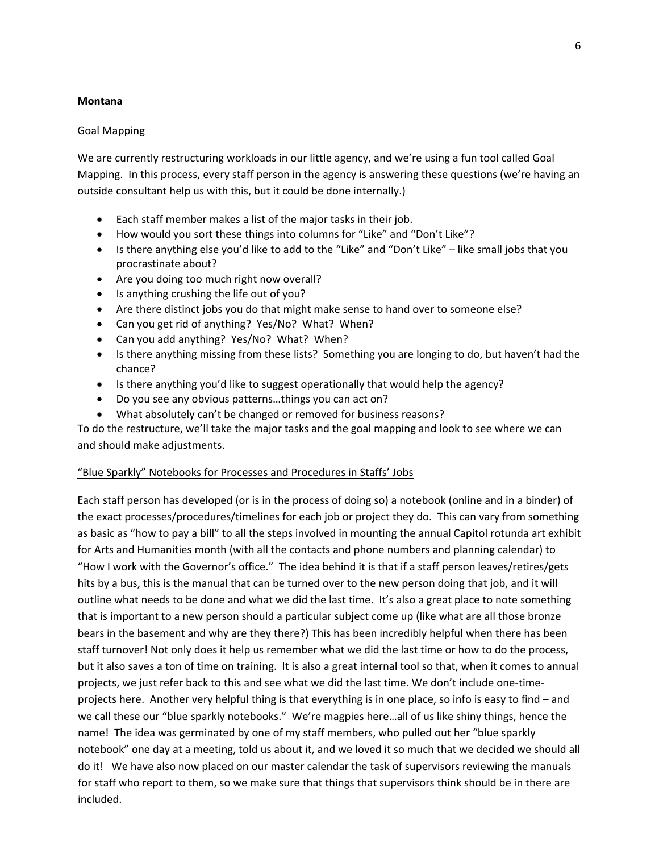# **Montana**

# Goal Mapping

We are currently restructuring workloads in our little agency, and we're using a fun tool called Goal Mapping. In this process, every staff person in the agency is answering these questions (we're having an outside consultant help us with this, but it could be done internally.)

- Each staff member makes a list of the major tasks in their job.
- How would you sort these things into columns for "Like" and "Don't Like"?
- Is there anything else you'd like to add to the "Like" and "Don't Like" like small jobs that you procrastinate about?
- Are you doing too much right now overall?
- Is anything crushing the life out of you?
- Are there distinct jobs you do that might make sense to hand over to someone else?
- Can you get rid of anything? Yes/No? What? When?
- Can you add anything? Yes/No? What? When?
- Is there anything missing from these lists? Something you are longing to do, but haven't had the chance?
- Is there anything you'd like to suggest operationally that would help the agency?
- Do you see any obvious patterns…things you can act on?
- What absolutely can't be changed or removed for business reasons?

To do the restructure, we'll take the major tasks and the goal mapping and look to see where we can and should make adjustments.

## "Blue Sparkly" Notebooks for Processes and Procedures in Staffs' Jobs

Each staff person has developed (or is in the process of doing so) a notebook (online and in a binder) of the exact processes/procedures/timelines for each job or project they do. This can vary from something as basic as "how to pay a bill" to all the steps involved in mounting the annual Capitol rotunda art exhibit for Arts and Humanities month (with all the contacts and phone numbers and planning calendar) to "How I work with the Governor's office." The idea behind it is that if a staff person leaves/retires/gets hits by a bus, this is the manual that can be turned over to the new person doing that job, and it will outline what needs to be done and what we did the last time. It's also a great place to note something that is important to a new person should a particular subject come up (like what are all those bronze bears in the basement and why are they there?) This has been incredibly helpful when there has been staff turnover! Not only does it help us remember what we did the last time or how to do the process, but it also saves a ton of time on training. It is also a great internal tool so that, when it comes to annual projects, we just refer back to this and see what we did the last time. We don't include one-timeprojects here. Another very helpful thing is that everything is in one place, so info is easy to find – and we call these our "blue sparkly notebooks." We're magpies here…all of us like shiny things, hence the name! The idea was germinated by one of my staff members, who pulled out her "blue sparkly notebook" one day at a meeting, told us about it, and we loved it so much that we decided we should all do it! We have also now placed on our master calendar the task of supervisors reviewing the manuals for staff who report to them, so we make sure that things that supervisors think should be in there are included.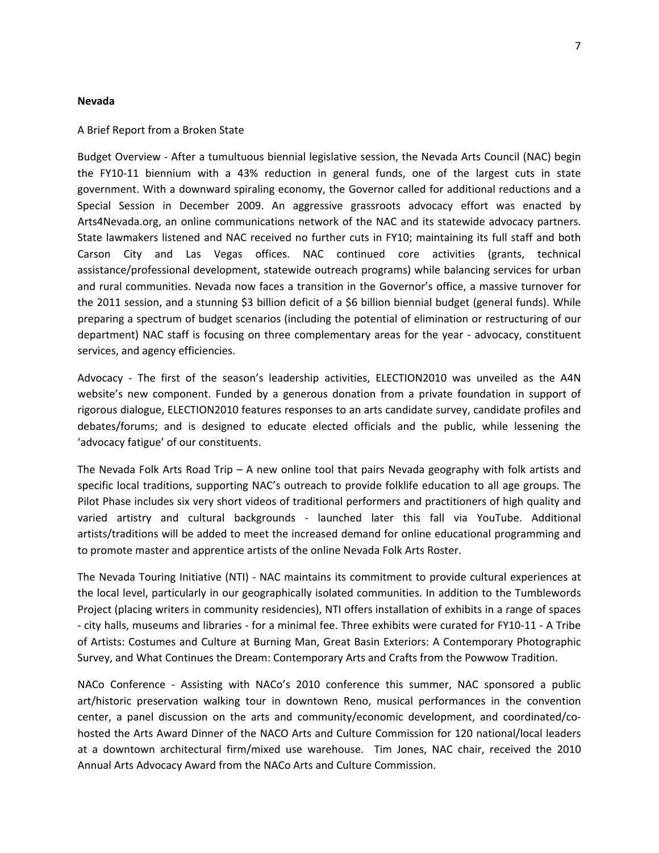#### **Nevada**

#### A Brief Report from a Broken State

Budget Overview ‐ After a tumultuous biennial legislative session, the Nevada Arts Council (NAC) begin the FY10‐11 biennium with a 43% reduction in general funds, one of the largest cuts in state government. With a downward spiraling economy, the Governor called for additional reductions and a Special Session in December 2009. An aggressive grassroots advocacy effort was enacted by Arts4Nevada.org, an online communications network of the NAC and its statewide advocacy partners. State lawmakers listened and NAC received no further cuts in FY10; maintaining its full staff and both Carson City and Las Vegas offices. NAC continued core activities (grants, technical assistance/professional development, statewide outreach programs) while balancing services for urban and rural communities. Nevada now faces a transition in the Governor's office, a massive turnover for the 2011 session, and a stunning \$3 billion deficit of a \$6 billion biennial budget (general funds). While preparing a spectrum of budget scenarios (including the potential of elimination or restructuring of our department) NAC staff is focusing on three complementary areas for the year - advocacy, constituent services, and agency efficiencies.

Advocacy - The first of the season's leadership activities, ELECTION2010 was unveiled as the A4N website's new component. Funded by a generous donation from a private foundation in support of rigorous dialogue, ELECTION2010 features responses to an arts candidate survey, candidate profiles and debates/forums; and is designed to educate elected officials and the public, while lessening the 'advocacy fatigue' of our constituents.

The Nevada Folk Arts Road Trip – A new online tool that pairs Nevada geography with folk artists and specific local traditions, supporting NAC's outreach to provide folklife education to all age groups. The Pilot Phase includes six very short videos of traditional performers and practitioners of high quality and varied artistry and cultural backgrounds ‐ launched later this fall via YouTube. Additional artists/traditions will be added to meet the increased demand for online educational programming and to promote master and apprentice artists of the online Nevada Folk Arts Roster.

The Nevada Touring Initiative (NTI) ‐ NAC maintains its commitment to provide cultural experiences at the local level, particularly in our geographically isolated communities. In addition to the Tumblewords Project (placing writers in community residencies), NTI offers installation of exhibits in a range of spaces ‐ city halls, museums and libraries ‐ for a minimal fee. Three exhibits were curated for FY10‐11 ‐ A Tribe of Artists: Costumes and Culture at Burning Man, Great Basin Exteriors: A Contemporary Photographic Survey, and What Continues the Dream: Contemporary Arts and Crafts from the Powwow Tradition.

NACo Conference - Assisting with NACo's 2010 conference this summer, NAC sponsored a public art/historic preservation walking tour in downtown Reno, musical performances in the convention center, a panel discussion on the arts and community/economic development, and coordinated/cohosted the Arts Award Dinner of the NACO Arts and Culture Commission for 120 national/local leaders at a downtown architectural firm/mixed use warehouse. Tim Jones, NAC chair, received the 2010 Annual Arts Advocacy Award from the NACo Arts and Culture Commission.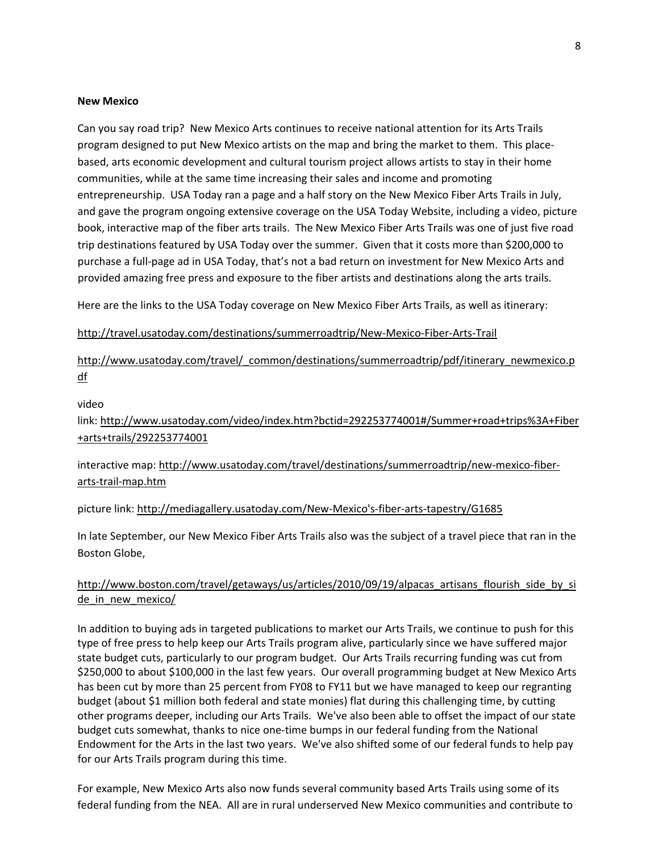#### **New Mexico**

Can you say road trip? New Mexico Arts continues to receive national attention for its Arts Trails program designed to put New Mexico artists on the map and bring the market to them. This place‐ based, arts economic development and cultural tourism project allows artists to stay in their home communities, while at the same time increasing their sales and income and promoting entrepreneurship. USA Today ran a page and a half story on the New Mexico Fiber Arts Trails in July, and gave the program ongoing extensive coverage on the USA Today Website, including a video, picture book, interactive map of the fiber arts trails. The New Mexico Fiber Arts Trails was one of just five road trip destinations featured by USA Today over the summer. Given that it costs more than \$200,000 to purchase a full‐page ad in USA Today, that's not a bad return on investment for New Mexico Arts and provided amazing free press and exposure to the fiber artists and destinations along the arts trails.

Here are the links to the USA Today coverage on New Mexico Fiber Arts Trails, as well as itinerary:

# [http://travel.usatoday.com/destinations/summerroadtrip/New](http://www.usatoday.com/travel/destinations/summerroadtrip/new-mexico-fiber-arts-trail-map.htm)‐Mexico‐Fiber‐Arts‐Trail

# [http://www.usatoday.com/travel/\\_common/destinations/summerroadtrip/pdf/itinerary\\_newmexico.p](http://www.usatoday.com/travel/_common/destinations/summerroadtrip/pdf/itinerary_newmexico.pdf) [df](http://www.usatoday.com/travel/_common/destinations/summerroadtrip/pdf/itinerary_newmexico.pdf)

video

link: [http://www.usatoday.com/video/index.htm?bctid=292253774001#/Summer+road+trips%3A+Fiber](http://www.usatoday.com/video/index.htm?bctid=292253774001#/Summer+road+trips%3A+Fiber+arts+trails/292253774001) [+arts+trails/292253774001](http://www.usatoday.com/video/index.htm?bctid=292253774001#/Summer+road+trips%3A+Fiber+arts+trails/292253774001)

interactive map: [http://www.usatoday.com/travel/destinations/summerroadtrip/new](http://www.usatoday.com/travel/destinations/summerroadtrip/new-mexico-fiber-arts-trail-map.htm)-mexico-fiberarts‐trail‐[map.htm](http://www.usatoday.com/travel/destinations/summerroadtrip/new-mexico-fiber-arts-trail-map.htm)

picture link: [http://mediagallery.usatoday.com/New](http://mediagallery.usatoday.com/New-Mexico)-Mexico's-fiber-arts-tapestry/G1685

In late September, our New Mexico Fiber Arts Trails also was the subject of a travel piece that ran in the Boston Globe,

# [http://www.boston.com/travel/getaways/us/articles/2010/09/19/alpacas\\_artisans\\_flourish\\_side\\_by\\_si](http://www.boston.com/travel/getaways/us/articles/2010/09/19/alpacas_artisans_flourish_side_by_side_in_new_mexico/) [de\\_in\\_new\\_mexico/](http://www.boston.com/travel/getaways/us/articles/2010/09/19/alpacas_artisans_flourish_side_by_side_in_new_mexico/)

In addition to buying ads in targeted publications to market our Arts Trails, we continue to push for this type of free press to help keep our Arts Trails program alive, particularly since we have suffered major state budget cuts, particularly to our program budget. Our Arts Trails recurring funding was cut from \$250,000 to about \$100,000 in the last few years. Our overall programming budget at New Mexico Arts has been cut by more than 25 percent from FY08 to FY11 but we have managed to keep our regranting budget (about \$1 million both federal and state monies) flat during this challenging time, by cutting other programs deeper, including our Arts Trails. We've also been able to offset the impact of our state budget cuts somewhat, thanks to nice one‐time bumps in our federal funding from the National Endowment for the Arts in the last two years. We've also shifted some of our federal funds to help pay for our Arts Trails program during this time.

For example, New Mexico Arts also now funds several community based Arts Trails using some of its federal funding from the NEA. All are in rural underserved New Mexico communities and contribute to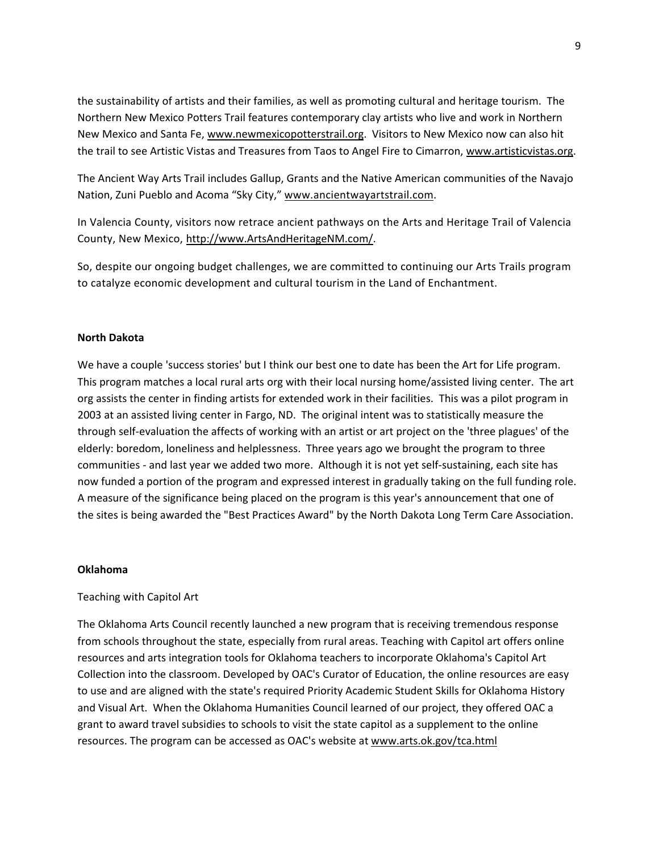the sustainability of artists and their families, as well as promoting cultural and heritage tourism. The Northern New Mexico Potters Trail features contemporary clay artists who live and work in Northern New Mexico and Santa Fe, [www.newmexicopotterstrail.org](http://www.newmexicopotterstrail.org/). Visitors to New Mexico now can also hit the trail to see Artistic Vistas and Treasures from Taos to Angel Fire to Cimarron, [www.artisticvistas.org.](http://www.artisticvistas.com/)

The Ancient Way Arts Trail includes Gallup, Grants and the Native American communities of the Navajo Nation, Zuni Pueblo and Acoma "Sky City," [www.ancientwayartstrail.com.](http://www.ancientwayartstrail.com/)

In Valencia County, visitors now retrace ancient pathways on the Arts and Heritage Trail of Valencia County, New Mexico, [http://www.ArtsAndHeritageNM.com/.](http://www.artsandheritagenm.com/)

So, despite our ongoing budget challenges, we are committed to continuing our Arts Trails program to catalyze economic development and cultural tourism in the Land of Enchantment.

# **North Dakota**

We have a couple 'success stories' but I think our best one to date has been the Art for Life program. This program matches a local rural arts org with their local nursing home/assisted living center. The art org assists the center in finding artists for extended work in their facilities. This was a pilot program in 2003 at an assisted living center in Fargo, ND. The original intent was to statistically measure the through self‐evaluation the affects of working with an artist or art project on the 'three plagues' of the elderly: boredom, loneliness and helplessness. Three years ago we brought the program to three communities ‐ and last year we added two more. Although it is not yet self‐sustaining, each site has now funded a portion of the program and expressed interest in gradually taking on the full funding role. A measure of the significance being placed on the program is this year's announcement that one of the sites is being awarded the "Best Practices Award" by the North Dakota Long Term Care Association.

## **Oklahoma**

## Teaching with Capitol Art

The Oklahoma Arts Council recently launched a new program that is receiving tremendous response from schools throughout the state, especially from rural areas. Teaching with Capitol art offers online resources and arts integration tools for Oklahoma teachers to incorporate Oklahoma's Capitol Art Collection into the classroom. Developed by OAC's Curator of Education, the online resources are easy to use and are aligned with the state's required Priority Academic Student Skills for Oklahoma History and Visual Art. When the Oklahoma Humanities Council learned of our project, they offered OAC a grant to award travel subsidies to schools to visit the state capitol as a supplement to the online resources. The program can be accessed as OAC's website at [www.arts.ok.gov/tca.html](http://www.arts.ok.gov/tca.html)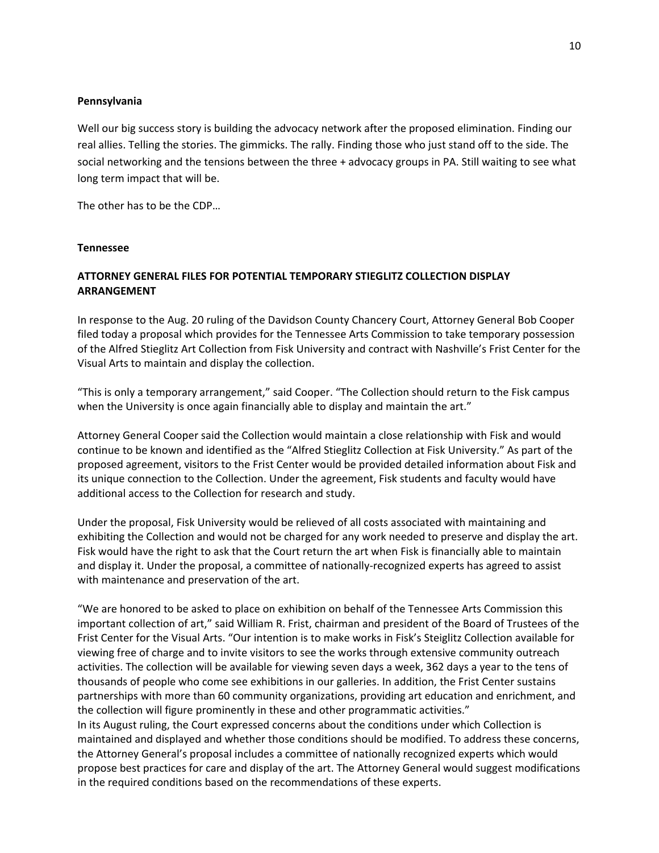#### **Pennsylvania**

Well our big success story is building the advocacy network after the proposed elimination. Finding our real allies. Telling the stories. The gimmicks. The rally. Finding those who just stand off to the side. The social networking and the tensions between the three + advocacy groups in PA. Still waiting to see what long term impact that will be.

The other has to be the CDP…

#### **Tennessee**

# **ATTORNEY GENERAL FILES FOR POTENTIAL TEMPORARY STIEGLITZ COLLECTION DISPLAY ARRANGEMENT**

In response to the Aug. 20 ruling of the Davidson County Chancery Court, Attorney General Bob Cooper filed today a proposal which provides for the Tennessee Arts Commission to take temporary possession of the Alfred Stieglitz Art Collection from Fisk University and contract with Nashville's Frist Center for the Visual Arts to maintain and display the collection.

"This is only a temporary arrangement," said Cooper. "The Collection should return to the Fisk campus when the University is once again financially able to display and maintain the art."

Attorney General Cooper said the Collection would maintain a close relationship with Fisk and would continue to be known and identified as the "Alfred Stieglitz Collection at Fisk University." As part of the proposed agreement, visitors to the Frist Center would be provided detailed information about Fisk and its unique connection to the Collection. Under the agreement, Fisk students and faculty would have additional access to the Collection for research and study.

Under the proposal, Fisk University would be relieved of all costs associated with maintaining and exhibiting the Collection and would not be charged for any work needed to preserve and display the art. Fisk would have the right to ask that the Court return the art when Fisk is financially able to maintain and display it. Under the proposal, a committee of nationally-recognized experts has agreed to assist with maintenance and preservation of the art.

"We are honored to be asked to place on exhibition on behalf of the Tennessee Arts Commission this important collection of art," said William R. Frist, chairman and president of the Board of Trustees of the Frist Center for the Visual Arts. "Our intention is to make works in Fisk's Steiglitz Collection available for viewing free of charge and to invite visitors to see the works through extensive community outreach activities. The collection will be available for viewing seven days a week, 362 days a year to the tens of thousands of people who come see exhibitions in our galleries. In addition, the Frist Center sustains partnerships with more than 60 community organizations, providing art education and enrichment, and the collection will figure prominently in these and other programmatic activities." In its August ruling, the Court expressed concerns about the conditions under which Collection is maintained and displayed and whether those conditions should be modified. To address these concerns, the Attorney General's proposal includes a committee of nationally recognized experts which would propose best practices for care and display of the art. The Attorney General would suggest modifications in the required conditions based on the recommendations of these experts.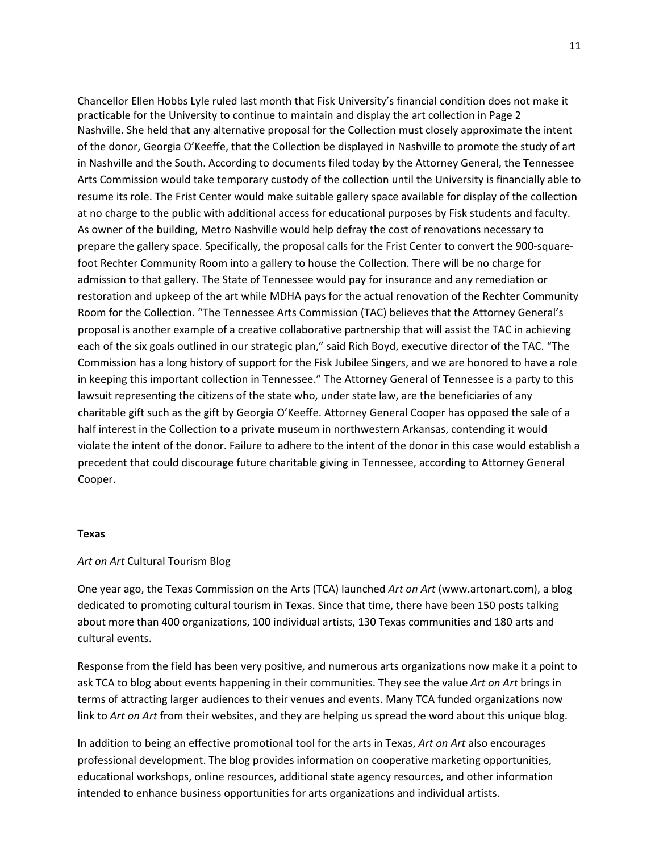Chancellor Ellen Hobbs Lyle ruled last month that Fisk University's financial condition does not make it practicable for the University to continue to maintain and display the art collection in Page 2 Nashville. She held that any alternative proposal for the Collection must closely approximate the intent of the donor, Georgia O'Keeffe, that the Collection be displayed in Nashville to promote the study of art in Nashville and the South. According to documents filed today by the Attorney General, the Tennessee Arts Commission would take temporary custody of the collection until the University is financially able to resume its role. The Frist Center would make suitable gallery space available for display of the collection at no charge to the public with additional access for educational purposes by Fisk students and faculty. As owner of the building, Metro Nashville would help defray the cost of renovations necessary to prepare the gallery space. Specifically, the proposal calls for the Frist Center to convert the 900‐square‐ foot Rechter Community Room into a gallery to house the Collection. There will be no charge for admission to that gallery. The State of Tennessee would pay for insurance and any remediation or restoration and upkeep of the art while MDHA pays for the actual renovation of the Rechter Community Room for the Collection. "The Tennessee Arts Commission (TAC) believes that the Attorney General's proposal is another example of a creative collaborative partnership that will assist the TAC in achieving each of the six goals outlined in our strategic plan," said Rich Boyd, executive director of the TAC. "The Commission has a long history of support for the Fisk Jubilee Singers, and we are honored to have a role in keeping this important collection in Tennessee." The Attorney General of Tennessee is a party to this lawsuit representing the citizens of the state who, under state law, are the beneficiaries of any charitable gift such as the gift by Georgia O'Keeffe. Attorney General Cooper has opposed the sale of a half interest in the Collection to a private museum in northwestern Arkansas, contending it would violate the intent of the donor. Failure to adhere to the intent of the donor in this case would establish a precedent that could discourage future charitable giving in Tennessee, according to Attorney General Cooper.

#### **Texas**

#### *Art on Art* Cultural Tourism Blog

One year ago, the Texas Commission on the Arts (TCA) launched *Art on Art* (www.artonart.com), a blog dedicated to promoting cultural tourism in Texas. Since that time, there have been 150 posts talking about more than 400 organizations, 100 individual artists, 130 Texas communities and 180 arts and cultural events.

Response from the field has been very positive, and numerous arts organizations now make it a point to ask TCA to blog about events happening in their communities. They see the value *Art on Art* brings in terms of attracting larger audiences to their venues and events. Many TCA funded organizations now link to *Art on Art* from their websites, and they are helping us spread the word about this unique blog.

In addition to being an effective promotional tool for the arts in Texas, *Art on Art* also encourages professional development. The blog provides information on cooperative marketing opportunities, educational workshops, online resources, additional state agency resources, and other information intended to enhance business opportunities for arts organizations and individual artists.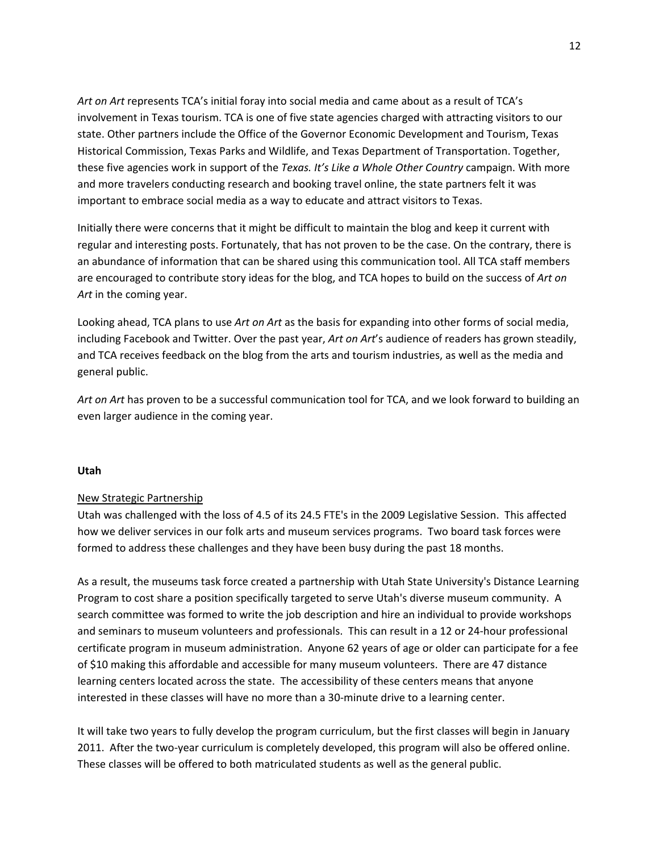*Art on Art* represents TCA's initial foray into social media and came about as a result of TCA's involvement in Texas tourism. TCA is one of five state agencies charged with attracting visitors to our state. Other partners include the Office of the Governor Economic Development and Tourism, Texas Historical Commission, Texas Parks and Wildlife, and Texas Department of Transportation. Together, these five agencies work in support of the *Texas. It's Like a Whole Other Country* campaign. With more and more travelers conducting research and booking travel online, the state partners felt it was important to embrace social media as a way to educate and attract visitors to Texas.

Initially there were concerns that it might be difficult to maintain the blog and keep it current with regular and interesting posts. Fortunately, that has not proven to be the case. On the contrary, there is an abundance of information that can be shared using this communication tool. All TCA staff members are encouraged to contribute story ideas for the blog, and TCA hopes to build on the success of *Art on Art* in the coming year.

Looking ahead, TCA plans to use *Art on Art* as the basis for expanding into other forms of social media, including Facebook and Twitter. Over the past year, *Art on Art*'s audience of readers has grown steadily, and TCA receives feedback on the blog from the arts and tourism industries, as well as the media and general public.

*Art on Art* has proven to be a successful communication tool for TCA, and we look forward to building an even larger audience in the coming year.

## **Utah**

## New Strategic Partnership

Utah was challenged with the loss of 4.5 of its 24.5 FTE's in the 2009 Legislative Session. This affected how we deliver services in our folk arts and museum services programs. Two board task forces were formed to address these challenges and they have been busy during the past 18 months.

As a result, the museums task force created a partnership with Utah State University's Distance Learning Program to cost share a position specifically targeted to serve Utah's diverse museum community. A search committee was formed to write the job description and hire an individual to provide workshops and seminars to museum volunteers and professionals. This can result in a 12 or 24‐hour professional certificate program in museum administration. Anyone 62 years of age or older can participate for a fee of \$10 making this affordable and accessible for many museum volunteers. There are 47 distance learning centers located across the state. The accessibility of these centers means that anyone interested in these classes will have no more than a 30-minute drive to a learning center.

It will take two years to fully develop the program curriculum, but the first classes will begin in January 2011. After the two‐year curriculum is completely developed, this program will also be offered online. These classes will be offered to both matriculated students as well as the general public.